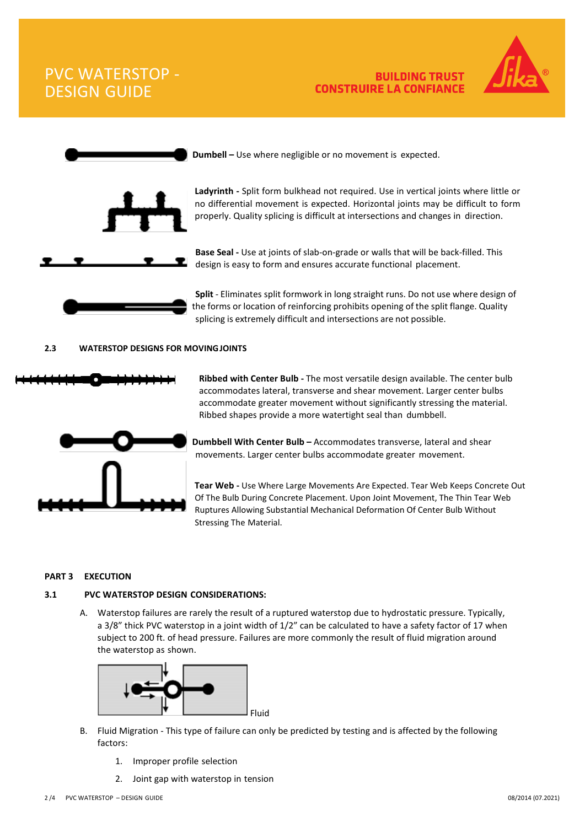PVC WATERSTOP - DESIGN GUIDE

### **Dumbell –** Use where negligible or no movement is expected.

**Ladyrinth -** Split form bulkhead not required. Use in vertical joints where little or no differential movement is expected. Horizontal joints may be difficult to form properly. Quality splicing is difficult at intersections and changes in direction.

**BUILDING TRUST** 

**CONSTRUIRE LA CONFIANCE** 

**Base Seal -** Use at joints of slab-on-grade or walls that will be back-filled. This design is easy to form and ensures accurate functional placement.

**Split** - Eliminates split formwork in long straight runs. Do not use where design of the forms or location of reinforcing prohibits opening of the split flange. Quality splicing is extremely difficult and intersections are not possible.

#### **2.3 WATERSTOP DESIGNS FOR MOVINGJOINTS**

**Ribbed with Center Bulb -** The most versatile design available. The center bulb accommodates lateral, transverse and shear movement. Larger center bulbs accommodate greater movement without significantly stressing the material. Ribbed shapes provide a more watertight seal than dumbbell.

 **Dumbbell With Center Bulb –** Accommodates transverse, lateral and shear movements. Larger center bulbs accommodate greater movement.

**Tear Web -** Use Where Large Movements Are Expected. Tear Web Keeps Concrete Out Of The Bulb During Concrete Placement. Upon Joint Movement, The Thin Tear Web Ruptures Allowing Substantial Mechanical Deformation Of Center Bulb Without Stressing The Material.

### **PART 3 EXECUTION**

### **3.1 PVC WATERSTOP DESIGN CONSIDERATIONS:**

A. Waterstop failures are rarely the result of a ruptured waterstop due to hydrostatic pressure. Typically, a 3/8" thick PVC waterstop in a joint width of 1/2" can be calculated to have a safety factor of 17 when subject to 200 ft. of head pressure. Failures are more commonly the result of fluid migration around the waterstop as shown.



Fluid

- 1. Improper profile selection
- 2. Joint gap with waterstop in tension





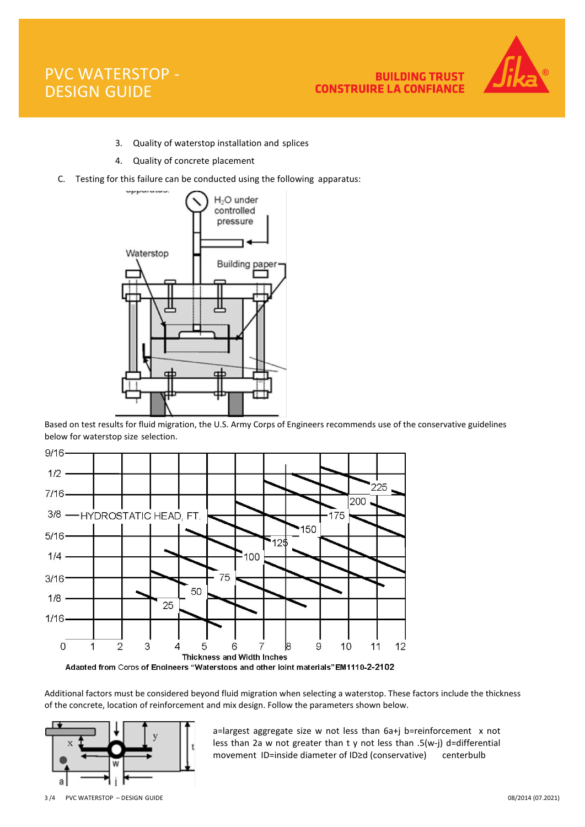# PVC WATERSTOP - DESIGN GUIDE



- 3. Quality of waterstop installation and splices
- 4. Quality of concrete placement
- C. Testing for this failure can be conducted using the following apparatus:



Based on test results for fluid migration, the U.S. Army Corps of Engineers recommends use of the conservative guidelines below for waterstop size selection.



Additional factors must be considered beyond fluid migration when selecting a waterstop. These factors include the thickness of the concrete, location of reinforcement and mix design. Follow the parameters shown below.



a=largest aggregate size w not less than 6a+j b=reinforcement x not less than 2a w not greater than t y not less than .5(w-j) d=differential movement ID=inside diameter of ID≥d (conservative) centerbulb